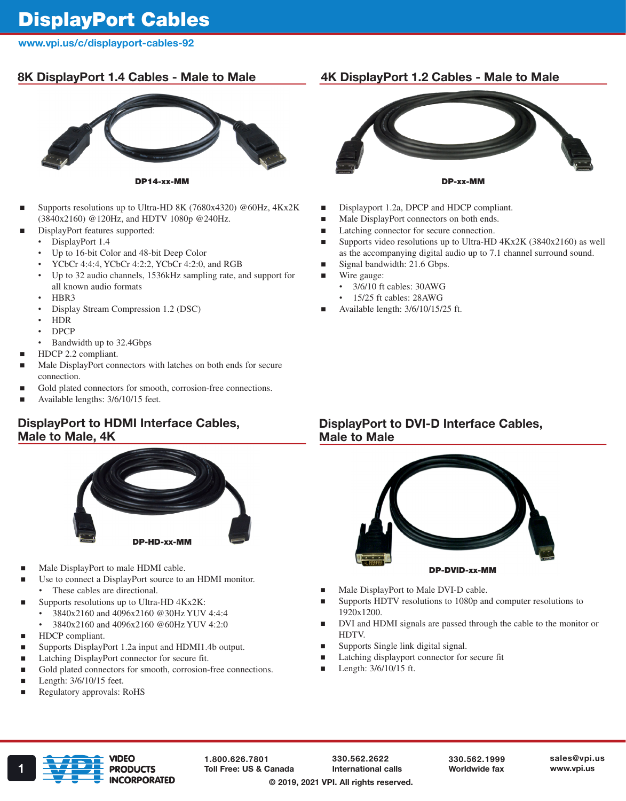# DisplayPort Cables

## www.vpi.us/c/displayport-cables-92

# 8K DisplayPort 1.4 Cables - Male to Male



DP14-xx-MM

- Supports resolutions up to Ultra-HD 8K (7680x4320) @60Hz, 4Kx2K (3840x2160) @120Hz, and HDTV 1080p @240Hz.
- DisplayPort features supported:
	- DisplayPort 1.4
	- Up to 16-bit Color and 48-bit Deep Color
	- YCbCr 4:4:4, YCbCr 4:2:2, YCbCr 4:2:0, and RGB
	- Up to 32 audio channels, 1536kHz sampling rate, and support for all known audio formats
	- HBR3
	- Display Stream Compression 1.2 (DSC)
	- HDR
	- DPCP
	- Bandwidth up to 32.4Gbps
- HDCP 2.2 compliant.
- Male DisplayPort connectors with latches on both ends for secure connection.
- Gold plated connectors for smooth, corrosion-free connections.
- Available lengths: 3/6/10/15 feet.

# DisplayPort to HDMI Interface Cables, Male to Male, 4K



- Male DisplayPort to male HDMI cable.
- Use to connect a DisplayPort source to an HDMI monitor.
- These cables are directional.
- Supports resolutions up to Ultra-HD 4Kx2K:
	- 3840x2160 and 4096x2160 @30Hz YUV 4:4:4
		- 3840x2160 and 4096x2160 @60Hz YUV 4:2:0
- HDCP compliant.
- Supports DisplayPort 1.2a input and HDMI1.4b output.
- Latching DisplayPort connector for secure fit.
- Gold plated connectors for smooth, corrosion-free connections.
- Length: 3/6/10/15 feet.
- Regulatory approvals: RoHS

# 4K DisplayPort 1.2 Cables - Male to Male



- Displayport 1.2a, DPCP and HDCP compliant.
- Male DisplayPort connectors on both ends.
- Latching connector for secure connection.
- Supports video resolutions up to Ultra-HD 4Kx2K (3840x2160) as well as the accompanying digital audio up to 7.1 channel surround sound.
- Signal bandwidth: 21.6 Gbps.
- Wire gauge:
	- 3/6/10 ft cables: 30AWG • 15/25 ft cables: 28AWG
- 
- Available length: 3/6/10/15/25 ft.

### DisplayPort to DVI-D Interface Cables, Male to Male



- Male DisplayPort to Male DVI-D cable.
- Supports HDTV resolutions to 1080p and computer resolutions to 1920x1200.
- DVI and HDMI signals are passed through the cable to the monitor or HDTV.
- Supports Single link digital signal.
- Latching displayport connector for secure fit
- Length:  $3/6/10/15$  ft.



1.800.626.7801

330.562.2622 International calls © 2019, 2021 VPI. All rights reserved.

330.562.1999 Worldwide fax